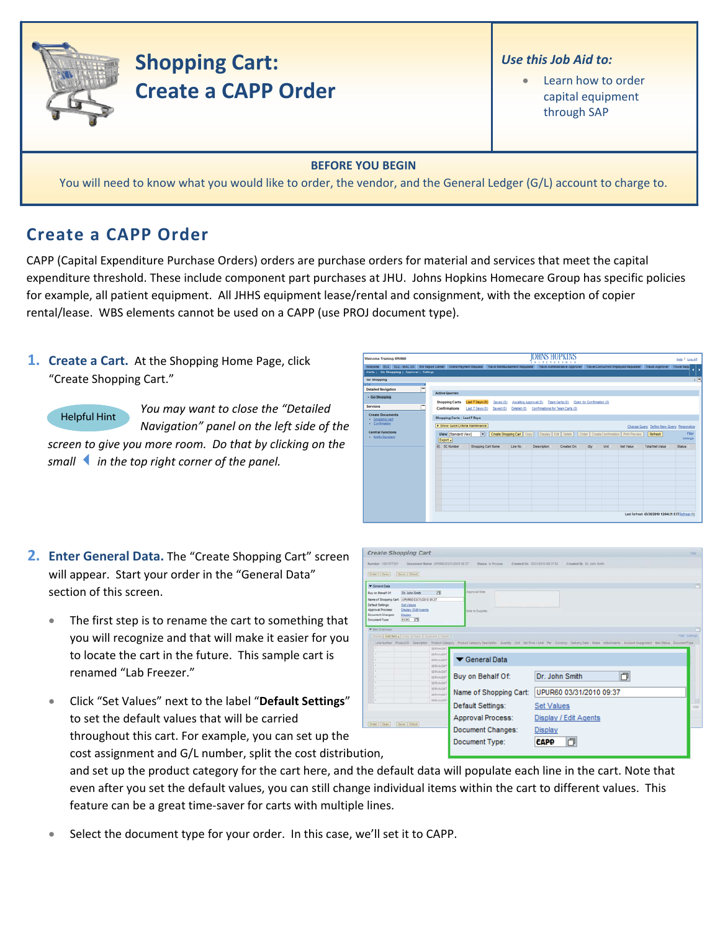

## **Shopping Cart: Create a CAPP Order**

## *Use this Job Aid to:*

• Learn how to order capital equipment through SAP

## **BEFORE YOU BEGIN**

You will need to know what you would like to order, the vendor, and the General Ledger (G/L) account to charge to.

## **Create a CAPP Order**

CAPP (Capital Expenditure Purchase Orders) orders are purchase orders for material and services that meet the capital expenditure threshold. These include component part purchases at JHU. Johns Hopkins Homecare Group has specific policies for example, all patient equipment. All JHHS equipment lease/rental and consignment, with the exception of copier rental/lease. WBS elements cannot be used on a CAPP (use PROJ document type).

**1. Create a Cart.** At the Shopping Home Page, click "Create Shopping Cart."

*You may want to close the "Detailed Navigation" panel on the left side of the screen to give you more room. Do that by clicking on the smallin the top right corner of the panel.* Helpful Hint

| Welcome Training UPUR60                                                                                                                                                                                                                       |                                                                                                                                      |                                                              |          | <b>OHNSHOPKINS</b><br><b>XXTITETIO</b>                                |                                                                                                                       |                           |      |                  |                                                  | Help   Log.off              |
|-----------------------------------------------------------------------------------------------------------------------------------------------------------------------------------------------------------------------------------------------|--------------------------------------------------------------------------------------------------------------------------------------|--------------------------------------------------------------|----------|-----------------------------------------------------------------------|-----------------------------------------------------------------------------------------------------------------------|---------------------------|------|------------------|--------------------------------------------------|-----------------------------|
| Welcome ECC ECC - MAC OS BW Report Center Online Payment Request Travel Reimbursement Requester Travel Administrative Approver Travel Concurrent Employed Requester Travel Approver Travel Requ<br>Alerts   Go Shopping   Approval   Settings |                                                                                                                                      |                                                              |          |                                                                       |                                                                                                                       |                           |      |                  |                                                  |                             |
| Go Shopping<br><b>REAL</b><br><b>Detailed Navigation</b><br>- Go Shopping<br><b>Services</b><br><b>Create Documents</b><br>- Shopping Cart<br>- Confirmation                                                                                  | <b>Active Queries</b><br><b>Shopping Carts</b><br>Confirmations<br>Shopping Carts - Last 7 Days<br>> Show Quick Criteria Maintenance | Last 7 Days (0)<br>Saved (0)<br>Last 7 Days (0)<br>Saved (0) |          | Awalting Approval (0)<br>Deleted (0) Confirmations for Team Carts (0) | Team Carts (0)                                                                                                        | Open for Confirmation (0) |      |                  | Change Query Define New Query Personalize        | 门司                          |
| <b>Central Functions</b><br><b>Notify Recipient</b>                                                                                                                                                                                           | View [Standard View]<br>Export a<br><b>R.</b> SC Number                                                                              | $\overline{ }$<br>Shopping Cart Name                         | Line No. | <b>Description</b>                                                    | Create Shopping Cart   Copy     Display   Edit   Delete     Order   Create Confirmation   Print Preview<br>Created On | Oty                       | Unit | <b>Net Value</b> | Refresh<br><b>Total Net Value</b>                | Fiter<br>Settings<br>Status |
|                                                                                                                                                                                                                                               |                                                                                                                                      |                                                              |          |                                                                       |                                                                                                                       |                           |      |                  |                                                  |                             |
|                                                                                                                                                                                                                                               |                                                                                                                                      |                                                              |          |                                                                       |                                                                                                                       |                           |      |                  | Last Refresh 03/30/2010 12:04:31 EST Refresh (2) |                             |

- **2. Enter General Data.** The "Create Shopping Cart" screen will appear. Start your order in the "General Data" section of this screen.
	- The first step is to rename the cart to something that you will recognize and that will make it easier for you to locate the cart in the future. This sample cart is renamed "Lab Freezer."
	- Click "Set Values" next to the label "**Default Settings**" to set the default values that will be carried throughout this cart. For example, you can set up the cost assignment and G/L number, split the cost distribution,

|                                                                      | Create Shopping Cart                                 |                                                        |                          |                                                                                                                                                                          | <b>Total</b>         |
|----------------------------------------------------------------------|------------------------------------------------------|--------------------------------------------------------|--------------------------|--------------------------------------------------------------------------------------------------------------------------------------------------------------------------|----------------------|
| Burnber 1001077331                                                   |                                                      | Document Barne UPUREZ ESQ10310 05 37                   | <b>Status</b> in Process | Created On 153/11/2019 19:37 his<br>Created By Dr. John Smith                                                                                                            |                      |
| Dider Cline   Bave   Check                                           |                                                      |                                                        |                          |                                                                                                                                                                          |                      |
| <b>V</b> General Data                                                |                                                      |                                                        |                          |                                                                                                                                                                          | o                    |
| Buy on Behalf Of                                                     | Dr. John Smith                                       | ы                                                      | Amphrical links          |                                                                                                                                                                          |                      |
| liane of Shopping Cart.<br><b>Default Settings:</b>                  | LIPURED GO/21/2310 09:37<br><b>Set Values</b>        |                                                        |                          |                                                                                                                                                                          |                      |
| Approval Process<br><b>Document Changes</b><br><b>Document Type:</b> | <b>Creates / Edit Agents</b><br>Depley<br>ECPO TT    |                                                        | Arm to Success           |                                                                                                                                                                          |                      |
| W last Dienview                                                      |                                                      |                                                        |                          |                                                                                                                                                                          |                      |
|                                                                      | Details   Ant formal Cons   Frank   Desire   Details |                                                        |                          |                                                                                                                                                                          | <b>Tilet Sattige</b> |
|                                                                      |                                                      |                                                        |                          |                                                                                                                                                                          |                      |
|                                                                      |                                                      | SERVAGNT                                               |                          | Leatherer PoductO Cencrymx ProductCengory ProductCensgory.Deacramy User National Leat Part Courses Deliver Date Part Assessment Account Associated Residents Decumenthes |                      |
|                                                                      |                                                      | <b>SERVADAT</b><br><b>SERUADAT</b>                     | General Data             |                                                                                                                                                                          |                      |
|                                                                      |                                                      | <b>SERVADIST</b><br>SERVADILT<br>SERVADED<br>SERVADATE | Buy on Behalf Of:        | 0<br>Dr. John Smith                                                                                                                                                      |                      |
|                                                                      |                                                      | <b>MINADAT</b><br>SERVADIT                             | Name of Shopping Cart:   | UPUR60 03/31/2010 09:37                                                                                                                                                  |                      |
|                                                                      |                                                      | <b>SERVAGNT</b>                                        | Default Settings:        | <b>Set Values</b>                                                                                                                                                        | <b>Little</b>        |
|                                                                      |                                                      |                                                        | Approval Process:        | Display / Edit Agents                                                                                                                                                    |                      |
| Order   Close   Lave   Dieth                                         |                                                      |                                                        | Document Changes:        | Display                                                                                                                                                                  |                      |

and set up the product category for the cart here, and the default data will populate each line in the cart. Note that even after you set the default values, you can still change individual items within the cart to different values. This feature can be a great time‐saver for carts with multiple lines.

Select the document type for your order. In this case, we'll set it to CAPP.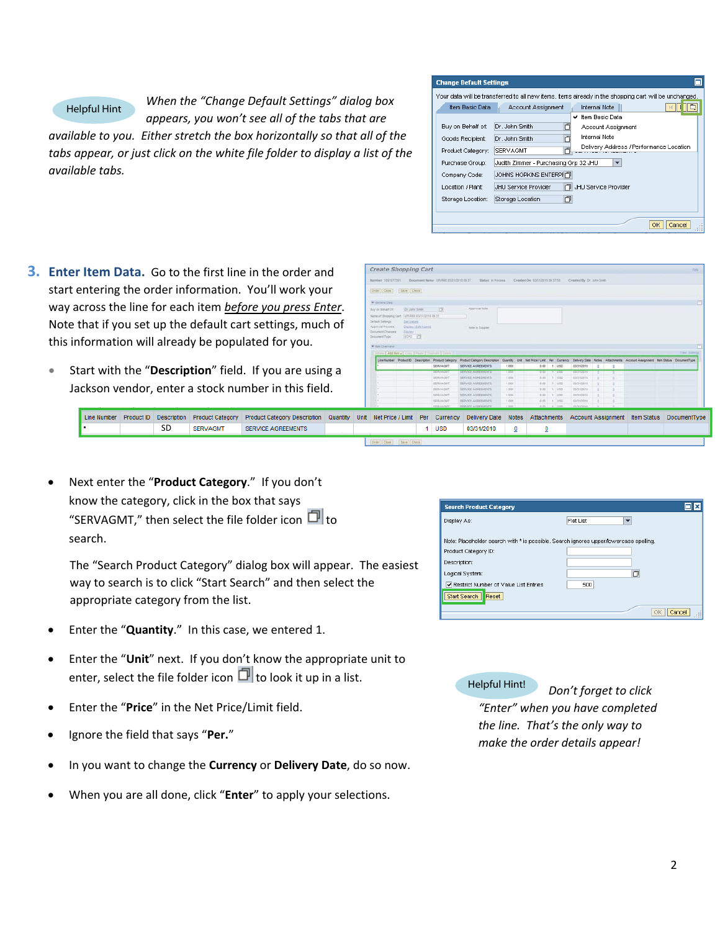

Line Number

*When the "Change Default Settings" dialog box appears, you won't see all of the tabs that are*

*available to you. Either stretch the box horizontally so that all of the tabs appear, or just click on the white file folder to display a list of the available tabs.*

| <b>Change Default Settings</b> |                                                                                                       |
|--------------------------------|-------------------------------------------------------------------------------------------------------|
|                                | Your data will be transferred to all new items, items already in the shopping cart will be unchanged. |
| Item Basic Data                | <b>Internal Note</b><br>Account Assignment                                                            |
|                                | Item Basic Data<br>✔                                                                                  |
| Buy on Behalf of:              | Dr. John Smith<br>卣<br>Account Assignment                                                             |
| Goods Recipient:               | Internal Note<br>Dr. John Smith                                                                       |
| Product Category:              | Delivery Address / Performance Location<br><b>SERVAGMT</b>                                            |
| Purchase Group:                | Judith Zimmer - Purchasing Grp 32 JHU<br>$\overline{\phantom{a}}$                                     |
| Company Code:                  | JOHNS HOPKINS ENTERPHT                                                                                |
| Location / Plant:              | JHU Service Provider<br>JHU Service Provider                                                          |
| Storage Location:              | 门<br>Storage Location                                                                                 |
|                                |                                                                                                       |
|                                | Cancel                                                                                                |

**3. Enter Item Data.** Go to the first line in the order start entering the order information. You'll work way across the line for each item *before* you prest Note that if you set up the default cart settings, this information will already be populated for you

• Start with the "Description" field. If you are Jackson vendor, enter a stock number in this

Product ID Description Product Category Product Category Des

| er and                              |           |      | <b>Create Shopping Cart</b>                                                                 |                           |                     |                                     |                                                                                 |                |                                |                           |                           |  |                                                                                                                       | first.       |
|-------------------------------------|-----------|------|---------------------------------------------------------------------------------------------|---------------------------|---------------------|-------------------------------------|---------------------------------------------------------------------------------|----------------|--------------------------------|---------------------------|---------------------------|--|-----------------------------------------------------------------------------------------------------------------------|--------------|
|                                     |           |      | Marmiller 3003077201                                                                        |                           |                     | Bocument Barne UPUMIE EVANCEN DE ET | <b>Hafan</b> It Process                                                         |                | Crewled On 03/31/2019 29:37:58 |                           | Crosted By Dr. John Smith |  |                                                                                                                       |              |
| < your                              |           |      | Criter Close   Cave   Check                                                                 |                           |                     |                                     |                                                                                 |                |                                |                           |                           |  |                                                                                                                       |              |
|                                     | ss Enter. |      | <b>W</b> General Date<br>Buy an Bishart OF<br>Neme of Shopping Cart: UPURAS ES01/0516 09:37 | Dr. John Smith            |                     | 79                                  | Approval Toyle                                                                  |                |                                |                           |                           |  |                                                                                                                       |              |
|                                     | much of   |      | Default Sattings<br>Appreval Process.<br>Document Changes:                                  | DALVAGUES<br><b>TOURS</b> | Daimi / Edit Agents |                                     | <b>Sale is Suggler</b>                                                          |                |                                |                           |                           |  |                                                                                                                       |              |
|                                     |           |      | Document Type:                                                                              | <b>IDO ID</b>             |                     |                                     |                                                                                 |                |                                |                           |                           |  |                                                                                                                       |              |
|                                     |           |      | W first Distribute                                                                          |                           |                     |                                     |                                                                                 |                |                                |                           |                           |  |                                                                                                                       | Time Selecte |
|                                     |           |      | Drive EAM News Livery 2 Form EDministr EDmin D                                              |                           |                     |                                     | Line Number Product D Cescription Product Category Product Category Description |                |                                |                           |                           |  | Quantity Unit Het-Price/Link Per Currency Delivery Date Nates Attachments Account Assignment Bert Status DocumentType |              |
|                                     |           |      |                                                                                             |                           |                     | SERVAGNT                            | SERVICE AGREEMENTS                                                              | 1,000          |                                | 0.00 1 USD                | 03/31/2010                |  |                                                                                                                       |              |
|                                     |           |      |                                                                                             |                           |                     | <b>SERVITARISM</b>                  | <b>MAYOR AND HAVEN</b>                                                          | 1,000          | $-100$                         | <b>TELEVISION</b>         | <b>ENGINEER</b>           |  |                                                                                                                       |              |
|                                     |           |      |                                                                                             |                           |                     | <b>SERVAGNT</b>                     | SERVICE AGREEMENTS                                                              | 1.655          | REE !!                         | 1,182                     | 23312810                  |  |                                                                                                                       |              |
|                                     |           |      |                                                                                             |                           |                     | <b>SERVADUT</b>                     | SERVICE ASSEEMENTS                                                              | 1.500          | 0.00                           | $1 - 150$                 | 03/21/2010                |  |                                                                                                                       |              |
|                                     |           |      |                                                                                             |                           |                     | <b>SERVADAT</b>                     | <b>SERVICE ADJESSIONS</b>                                                       | 1,000          |                                | 0.00 1 100                | 03/31/2010                |  |                                                                                                                       |              |
|                                     |           |      |                                                                                             |                           |                     | SERVADIT<br><b>SERVAGNT</b>         | <b>SERVICE ADRESSENTS</b><br>GERVICE ADREEMENTS.                                | 3,000<br>1,000 |                                | 8.00 1 1000<br>0.00 1.150 | 03/31/2010<br>03/21/2010  |  |                                                                                                                       |              |
|                                     |           |      | ٠.                                                                                          |                           |                     | SERVADAT                            | <b>BERVICE ASSESSMENTS</b>                                                      | 1,202          |                                | 8.00 1.1 455              | 03/31/2010                |  |                                                                                                                       |              |
| u.<br>using a<br>field.<br>cription | Quantity  | Unit | Net Price / Limit   Per                                                                     |                           |                     | Currency                            | <b>Delivery Date</b>                                                            | <b>Notes</b>   | Attachments                    |                           | <b>Account Assignment</b> |  | <b>Item Status</b>                                                                                                    | DocumentType |

| • Next enter the "Product Category." If you don't      |
|--------------------------------------------------------|
| know the category, click in the box that says          |
| "SERVAGMT," then select the file folder icon $\Box$ to |
| search.                                                |

SD SERVAGMT SERVICE AGREEMENT

The "Search Product Category" dialog box will appear. The easiest way to search is to click "Start Search" and then select the appropriate category from the list.

- Enter the "**Quantity**." In this case, we entered 1.
- Enter the "**Unit**" next. If you don't know the appropriate unit to enter, select the file folder icon  $\Box$  to look it up in a list.
- Enter the "**Price**" in the Net Price/Limit field.
- Ignore the field that says "**Per.**"
- In you want to change the **Currency** or **Delivery Date**, do so now.
- When you are all done, click "**Enter**" to apply your selections.

| <b>Search Product Category</b>                                                                                | ⊡l×          |
|---------------------------------------------------------------------------------------------------------------|--------------|
| Display As:                                                                                                   | Flat List    |
| Note: Placeholder search with * is possible. Search ignores upper/lowercase spelling.<br>Product Category ID: |              |
| Description:                                                                                                  |              |
| Logical System:                                                                                               | n            |
| Restrict Number of Value List Entries                                                                         | 500          |
| Start Search<br>Reset                                                                                         |              |
|                                                                                                               | Cancel<br>OK |

Helpful Hint! *Don't forget to click*

*"Enter" when you have completed the line. That's the only way to make the order details appear!*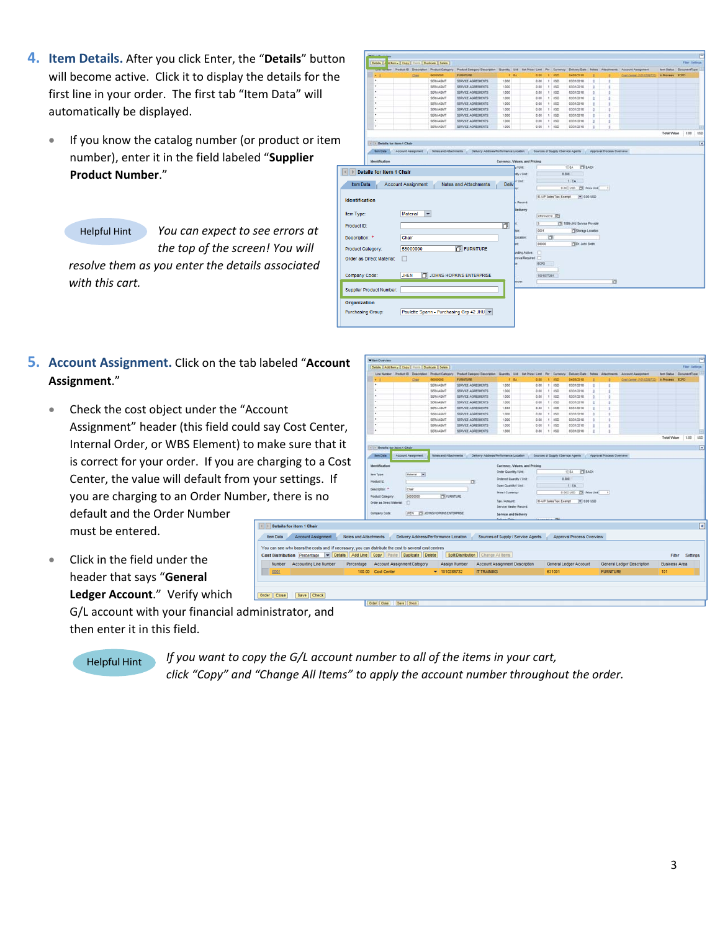- **4. Item Details.** After you click Enter, the "**Details**" button will become active. Click it to display the details for the first line in your order. The first tab "Item Data" will automatically be displayed.
	- If you know the catalog number (or product or item number), enter it in the field labeled "**Supplier Product Number**."

Helpful Hint

*You can expect to see errors at the top of the screen! You will resolve them as you enter the details associated with this cart.*

- **5.** Account Assignment. Click on the tab labeled "A **Assignment**."
	- Check the cost object under the "Account Assignment" header (this field could say Cos Internal Order, or WBS Element) to make sur is correct for your order. If you are charging Center, the value will default from your setti you are charging to an Order Number, there

I Details for ite tem Data

default and the Order Number must be entered.

Click in the field under the header that says "**General Ledger Account**." Verify which

> G/L account with your financial administrator, and then enter it in this field.

Helpful Hint *If you want to copy the G/L account number to all of the items in your cart, click "Copy" and "Change All Items" to apply the account number throughout the order.*

esia (\* <mark>1814 - Ctoy )</mark> Frank <mark>( Depkale ) Clevie</mark>

Paulette Spann - Purchasing Grp 42 JHU  $\blacktriangledown$ 

**Purchasing Group:** 

| Account                                                                              |                               | Details   Add from a   Copy   Figure   Duplicate   Delete |                           |                                                     |                                                                                                             |                                |      |                                    |                                 |                                |                           |                          |                            |                        | Filer Settings          |                      |
|--------------------------------------------------------------------------------------|-------------------------------|-----------------------------------------------------------|---------------------------|-----------------------------------------------------|-------------------------------------------------------------------------------------------------------------|--------------------------------|------|------------------------------------|---------------------------------|--------------------------------|---------------------------|--------------------------|----------------------------|------------------------|-------------------------|----------------------|
|                                                                                      |                               |                                                           |                           | Line Number Product El Description Product Category | Product Category Description Guardity Unit Tiet Price / Limit Per Currency Delivery Date Nate & Atlachments |                                |      |                                    |                                 |                                |                           |                          | Account Assignment         |                        | ten Status DocumentType |                      |
|                                                                                      |                               |                                                           | Chin                      | 10000000                                            | <b>FURNITURE</b>                                                                                            |                                | 1.84 | 0.00                               |                                 | $-1$ $\cup$ 10                 | 04/05/2010                |                          | Good Carrier 11010201712   | <b>In Process ECPO</b> |                         |                      |
|                                                                                      |                               |                                                           |                           | SERVAGNT                                            | SERVICE AGREEMENTS                                                                                          | 1.000                          |      | $0.00$ $1.050$                     |                                 |                                | 03/31/2010                | ×                        |                            |                        |                         |                      |
|                                                                                      |                               |                                                           |                           | SERVAGM?                                            | SERVICE AGREEMENTS                                                                                          | 1.000                          |      | 3.03                               |                                 | 1.055                          | 53/31/2018                |                          |                            |                        |                         |                      |
|                                                                                      |                               |                                                           |                           | SERVAGMT                                            | SERVICE AGREEMENTS                                                                                          | 1,000                          |      | 0.00                               |                                 | 11450                          | 03/31/2010                |                          |                            |                        |                         |                      |
|                                                                                      |                               |                                                           |                           | <b>SERVAGNY</b>                                     | SERVICE AGREEMENTS                                                                                          | 1,000                          |      | 0.00                               |                                 | 1 1/10                         | 03/31/2010                | ٠                        |                            |                        |                         |                      |
|                                                                                      |                               |                                                           |                           | SERVAGNT                                            | SERVICE AGREEMENTS                                                                                          | 1,000                          |      | 0.00                               |                                 | $1 - 1/50$                     | 03/31/2010                |                          |                            |                        |                         |                      |
|                                                                                      |                               |                                                           |                           | <b>SERVAGNT</b>                                     | SERVICE AGREEMENTS                                                                                          | 1.000                          |      | 0.00                               |                                 | 1.055                          | 03/31/2010                |                          |                            |                        |                         |                      |
|                                                                                      |                               |                                                           |                           | <b>SERVAGNT</b>                                     | SERVICE AGREEMENTS                                                                                          | 1.000                          |      | 0.00                               |                                 | 1 1/20                         | 03/31/2010                |                          |                            |                        |                         |                      |
| st Center,                                                                           |                               |                                                           |                           | SERVAGNT<br>SERVADNT                                | SERVICE AGREEMENTS<br>SERVICE AGREEMENTS                                                                    | 1.000<br>1,000                 |      | 0.00                               |                                 | 1.150<br>8.88 1 USD            | 03/31/2010<br>03/31/2010  |                          |                            |                        |                         |                      |
|                                                                                      |                               |                                                           |                           |                                                     |                                                                                                             |                                |      |                                    |                                 |                                |                           |                          |                            |                        | Total Value 0.00        | 150                  |
| ıre that it                                                                          |                               | (1) 1 Details for item 1 Chair                            |                           |                                                     |                                                                                                             |                                |      |                                    |                                 |                                |                           |                          |                            |                        |                         | $\boxed{\mathbf{x}}$ |
|                                                                                      | <b><i><u>tem Data</u></i></b> |                                                           | <b>Account Assignment</b> | <b>Notes and Attachments</b>                        | Delivery Address/Ferformance Location ( Sources of Supply / Service Agents ( Approval Process Overview)     |                                |      |                                    |                                 |                                |                           |                          |                            |                        |                         |                      |
| र to a Cost                                                                          |                               |                                                           |                           |                                                     |                                                                                                             |                                |      |                                    |                                 |                                |                           |                          |                            |                        |                         |                      |
|                                                                                      | <b>Identification</b>         |                                                           |                           |                                                     |                                                                                                             |                                |      | Currency, Values, and Pricing      |                                 |                                |                           |                          |                            |                        |                         |                      |
|                                                                                      | <b>Jam Type:</b>              |                                                           | Material (w)              |                                                     |                                                                                                             | <b>Crder Quantity / Unit</b>   |      |                                    |                                 |                                | <b>ITT</b> EACH<br>$1$ EA |                          |                            |                        |                         |                      |
| ings. If                                                                             | Product D.                    |                                                           |                           |                                                     | σ                                                                                                           | <b>Ordered Quantity / Unit</b> |      |                                    |                                 | 8.000                          |                           |                          |                            |                        |                         |                      |
|                                                                                      |                               |                                                           |                           |                                                     |                                                                                                             | Open Quantity / Unit:          |      |                                    |                                 |                                | 1.84                      |                          |                            |                        |                         |                      |
|                                                                                      | Deacription: 11               |                                                           | Chair<br>56000000         | <b>PSI FURNITURE</b>                                |                                                                                                             | <b>Price / Currency:</b>       |      |                                    |                                 |                                | 0.00 USD THE Price Unit   | $\overline{\mathcal{A}}$ |                            |                        |                         |                      |
| e is no                                                                              | <b>Product Category</b>       | Order as Direct Material:                                 | n                         |                                                     |                                                                                                             | <b>Tax 7 Amount</b>            |      |                                    |                                 | <b>G.A.P Sales Tax. Exempt</b> | $= 0.00100$               |                          |                            |                        |                         |                      |
|                                                                                      |                               |                                                           |                           |                                                     |                                                                                                             | Service Wester Record:         |      |                                    |                                 |                                |                           |                          |                            |                        |                         |                      |
|                                                                                      | Company Code:                 |                                                           | izers.                    | <b>CE JOHNS HORIGIS ENTERPRISE</b>                  |                                                                                                             | Service and Delivery           |      |                                    |                                 |                                |                           |                          |                            |                        |                         |                      |
|                                                                                      |                               |                                                           |                           |                                                     |                                                                                                             |                                |      |                                    | <b><i><u>PARADIA 19</u></i></b> |                                |                           |                          |                            |                        |                         |                      |
| m 1 Chair                                                                            |                               |                                                           |                           |                                                     |                                                                                                             |                                |      |                                    |                                 |                                |                           |                          |                            |                        |                         | $\boxed{\mathbf{x}}$ |
| count Assignment                                                                     | Notes and Attachments         |                                                           |                           | Delivery Address/Performance Location               |                                                                                                             |                                |      | Sources of Supply / Service Agents |                                 |                                | Approval Process Overview |                          |                            |                        |                         |                      |
| ars the costs and, if necessary, you can distribute the cost to several cost centres |                               |                                                           |                           |                                                     |                                                                                                             |                                |      |                                    |                                 |                                |                           |                          |                            |                        |                         |                      |
| Percentage $\blacktriangleright$ Details Add Line Copy Paste Duplicate Delete        |                               |                                                           |                           |                                                     | Splt Distribution   Change All tems                                                                         |                                |      |                                    |                                 |                                |                           |                          |                            | Fiter                  | Settings                |                      |
|                                                                                      |                               |                                                           |                           |                                                     |                                                                                                             |                                |      |                                    |                                 |                                |                           |                          |                            |                        |                         |                      |
| ounting Line Number                                                                  | Percentage                    | Account Assignment Category                               |                           | Assign Number                                       | Account Assignment Description                                                                              |                                |      |                                    |                                 |                                | General Ledger Account    |                          | General Ledger Description | <b>Business Area</b>   |                         |                      |
|                                                                                      | 100.00 Cost Center            |                                                           |                           | $- 1010289732$                                      | IT TRAINING                                                                                                 |                                |      |                                    |                                 | 631001                         |                           | <b>FURNITURE</b>         |                            | 101                    |                         |                      |
|                                                                                      |                               |                                                           |                           |                                                     |                                                                                                             |                                |      |                                    |                                 |                                |                           |                          |                            |                        |                         |                      |
|                                                                                      |                               |                                                           |                           |                                                     |                                                                                                             |                                |      |                                    |                                 |                                |                           |                          |                            |                        |                         |                      |
| ave Check                                                                            |                               |                                                           |                           |                                                     |                                                                                                             |                                |      |                                    |                                 |                                |                           |                          |                            |                        |                         |                      |
|                                                                                      |                               | Cedar Clina Boys Charge                                   |                           |                                                     |                                                                                                             |                                |      |                                    |                                 |                                |                           |                          |                            |                        |                         |                      |

|                       |                                 |                                         | SERVAGMT              | <b>SERVICE AGREEMENTS</b>             | 1.000 |                               | 0.00        | $1$ usp.                | 03/31/2010                         | ğ. | t                         |             |           |            |
|-----------------------|---------------------------------|-----------------------------------------|-----------------------|---------------------------------------|-------|-------------------------------|-------------|-------------------------|------------------------------------|----|---------------------------|-------------|-----------|------------|
|                       | ×                               |                                         | <b>SERVAGNY</b>       | SERVICE AGREEMENTS                    | 1.000 |                               | 0.00        | $t - 1/50$              | 03/31/2010                         | t. |                           |             |           |            |
|                       | ×                               |                                         | SERVAGNT              | SERVICE AGREEMENTS                    | 1,000 |                               | 0.00        | $1 - 1/50$              | 03/31/2010                         | ٠  |                           |             |           |            |
|                       | ٠                               |                                         | <b>SERVAGNY</b>       | SERVICE AGREEMENTS                    | 1,000 |                               | 0.00        | 1.1050                  | 03/31/2010                         | s. | t                         |             |           |            |
|                       |                                 |                                         | SERVAGNT              | SERVICE AGREEMENTS                    | 1.000 |                               | 0.00        | 1.1050                  | 03/31/2018                         | ×  | t                         |             |           |            |
|                       |                                 |                                         | SERVAGMT              | <b>SERVICE AGREEMENTS</b>             | 1.000 |                               | 0.00        | $T$ uso                 | 03/31/2010                         | x  | ×                         |             |           |            |
|                       | ٠                               |                                         | SERVAGUIT             | SERVICE AGREEMENTS                    | 1.000 |                               | 0.00        | $1 - 050$               | 03/31/2010                         | x  | ×                         |             |           |            |
|                       |                                 |                                         |                       |                                       |       |                               |             |                         |                                    |    |                           | Total Value | 0.00 0.00 |            |
|                       | + 1 Cetails for item 1 Chair    |                                         |                       |                                       |       |                               |             |                         |                                    |    |                           |             |           | $\sqrt{2}$ |
|                       | <b>Barn Data</b>                | <b>Account Assignment</b>               | Notes and Attachments | Delivery Address/Performance Location |       |                               |             |                         | Sources of Supply / Service Agents |    | Approval Process Overview |             |           |            |
|                       | Identification                  |                                         |                       |                                       |       | Currency, Values, and Pricing |             |                         |                                    |    |                           |             |           |            |
|                       |                                 |                                         |                       |                                       |       | / Unit                        |             |                         | <b>TELEACH</b><br>$1$ $64$         |    |                           |             |           |            |
|                       | <b>Details for item 1 Chair</b> |                                         |                       |                                       |       | my rune:                      |             |                         | 8.000                              |    |                           |             |           |            |
|                       |                                 |                                         |                       |                                       |       | 10nE                          |             |                         | 1.14                               |    |                           |             |           |            |
| <b>Item Data</b>      |                                 | <b>Account Assignment</b>               |                       | <b>Notes and Attachments</b>          | Deliv |                               |             |                         | 8.00 LISO CR Price Unit            |    |                           |             |           |            |
|                       |                                 |                                         |                       |                                       |       |                               |             |                         |                                    |    | 71                        |             |           |            |
| <b>Identification</b> |                                 |                                         |                       |                                       |       | r Record                      |             | G-A/P Sales Tax, Exampl | $= 0.001050$                       |    |                           |             |           |            |
| Item Type:            |                                 | <b>Material</b><br>$\blacktriangledown$ |                       |                                       |       | <b>Delivery</b>               |             | 04050310 125            |                                    |    |                           |             |           |            |
| Product ID:           |                                 |                                         |                       |                                       | b     |                               | s<br>ddon   |                         | ["Il 1099-2HJ Service Provider     |    |                           |             |           |            |
| Description: *        |                                 | Chair                                   |                       |                                       |       | <b>AGMMA</b>                  |             | b.                      | <b>Citizrage Location</b>          |    |                           |             |           |            |
|                       |                                 |                                         |                       |                                       |       |                               | escoc       |                         | <b>TED</b> : John Sven             |    |                           |             |           |            |
|                       | Product Category:               | 56000000                                |                       | FURNITURE                             |       | mána Active                   | O           |                         |                                    |    |                           |             |           |            |
|                       | Order as Direct Material:       | П                                       |                       |                                       |       | mial Required:                |             |                         |                                    |    |                           |             |           |            |
|                       |                                 |                                         |                       |                                       |       |                               | <b>ŁCPO</b> |                         |                                    |    |                           |             |           |            |
|                       |                                 |                                         |                       |                                       |       |                               |             |                         |                                    |    |                           |             |           |            |
|                       | Company Code:                   | <b>JHEN</b>                             |                       | JOHNS HOPKINS ENTERPRISE              |       |                               | 1001077291  |                         |                                    |    |                           |             |           |            |
|                       |                                 |                                         |                       |                                       |       | rover                         |             |                         |                                    |    | ы                         |             |           |            |
|                       | Supplier Product Number:        |                                         |                       |                                       |       |                               |             |                         |                                    |    |                           |             |           |            |
|                       |                                 |                                         |                       |                                       |       |                               |             |                         |                                    |    |                           |             |           |            |
| Organization          |                                 |                                         |                       |                                       |       |                               |             |                         |                                    |    |                           |             |           |            |
|                       |                                 |                                         |                       |                                       |       |                               |             |                         |                                    |    |                           |             |           |            |

 $0.007 - 1.050$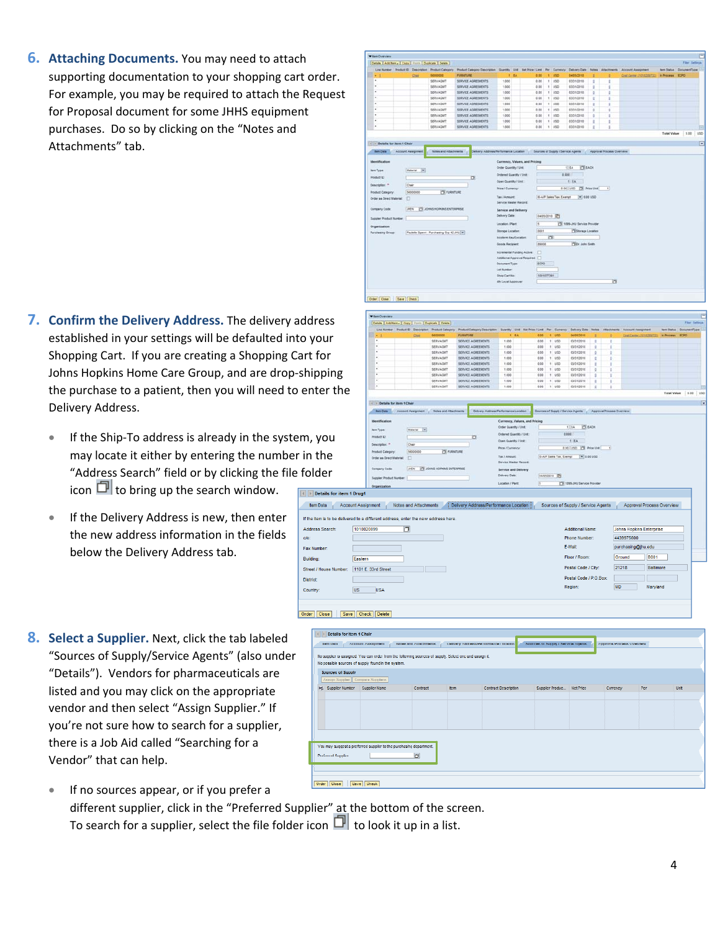**6. Attaching Documents.** You may need to attach supporting documentation to your shopping cart order. For example, you may be required to attach the Request for Proposal document for some JHHS equipment purchases. Do so by clicking on the "Notes and Attachments" tab.

|                                |                           |                                           | Line Number Product El Description Product Category | Product Category Description Guardty Unit Test Price / Limit Per Currency Delivery Date Notes Attachments Account Assignment |                              |        |                               |            |                                    |                              |                |                           |                                        | <b>Ben Status DocumentType</b> |           |  |
|--------------------------------|---------------------------|-------------------------------------------|-----------------------------------------------------|------------------------------------------------------------------------------------------------------------------------------|------------------------------|--------|-------------------------------|------------|------------------------------------|------------------------------|----------------|---------------------------|----------------------------------------|--------------------------------|-----------|--|
| $-1$                           |                           | Ost                                       | 58000000                                            | <b>FURNITURE</b>                                                                                                             |                              | $+ 14$ | 0.00                          |            | 1.050                              | 04/05/2010                   |                |                           | Continente (101020222) In Process ECPO |                                |           |  |
| $\blacksquare$                 |                           |                                           | SERVAGNT                                            | SERVICE AGREEMENTS                                                                                                           | 1.000                        |        | 0.05                          |            | $1 - 050$                          | 03/31/2010                   | ٠              | t                         |                                        |                                |           |  |
| ×                              |                           |                                           | SERVADAT                                            | SERVICE AGREEMENTS                                                                                                           | 1,000                        |        | 3.00                          |            | 1 055                              | 53/31/2018                   | ÷              | ٠                         |                                        |                                |           |  |
| ×                              |                           |                                           | SERVAGNT                                            | SERVICE AGREEMENTS                                                                                                           | 1.000                        |        | 0.00                          |            | $1$ $150$                          | 03/31/2010                   | ż              | ż                         |                                        |                                |           |  |
| ×                              |                           |                                           | <b>SERVAGNY</b>                                     | SERVICE AGREEMENTS                                                                                                           | 1.000                        |        | 0.00                          |            | $1 - 1/50$                         | 03/31/2010                   | з              | ÷                         |                                        |                                |           |  |
| ٠                              |                           |                                           | SERVAGNT                                            | SERVICE AGREEMENTS                                                                                                           | 1,000                        |        | 0.00                          |            | $1 - 1/50$                         | 03/31/2010                   | r              | ı                         |                                        |                                |           |  |
| ×                              |                           |                                           | <b>SERVAGNY</b>                                     | SERVICE AGREEMENTS                                                                                                           | 1.000                        |        | 0.00                          |            | $1 - 0.50$                         | 03/31/2010                   | $\mathfrak{g}$ | $\mathbf{r}$              |                                        |                                |           |  |
| ×                              |                           |                                           | <b>SERVAGNT</b>                                     | SERVICE AGREEMENTS                                                                                                           | 1.000                        |        | 0.00                          |            | 1 1/20                             | 03/31/2010                   |                | t                         |                                        |                                |           |  |
| ٠                              |                           |                                           | SERVAGNT                                            | SERVICE AGREEMENTS                                                                                                           | 1.000                        |        | 0.00                          |            | 1 1/50                             | 03/31/2010                   |                | t                         |                                        |                                |           |  |
| ٠                              |                           |                                           | SERVADNT                                            | SERVICE AGREEMENTS                                                                                                           | 1,000                        |        | 0.00                          |            | 1.450                              | 03/31/2010                   | ×              | 1                         |                                        |                                |           |  |
|                                |                           |                                           |                                                     |                                                                                                                              |                              |        |                               |            |                                    |                              |                |                           |                                        | <b>Total Value</b>             | 0.00 1/50 |  |
| 14 19 Details for item 1 Chair |                           |                                           |                                                     |                                                                                                                              |                              |        |                               |            |                                    |                              |                |                           |                                        |                                |           |  |
| <b>Bent Data</b>               | <b>Account Assignment</b> |                                           | <b>Notes and Attachments</b>                        | Delivery Address/Ferformance Location                                                                                        |                              |        |                               |            | Sources of Suzaly / Service Agents |                              |                | Approval Process Overview |                                        |                                |           |  |
| <b>Identification</b>          |                           |                                           |                                                     |                                                                                                                              |                              |        | Currency, Values, and Pricing |            |                                    |                              |                |                           |                                        |                                |           |  |
|                                |                           |                                           |                                                     |                                                                                                                              | <b>Order Quantity / Unit</b> |        |                               |            |                                    | $1$ EA<br><b>CE EACH</b>     |                |                           |                                        |                                |           |  |
| <b>Bem Type:</b>               |                           | Material<br>$\left  \infty \right\rangle$ |                                                     |                                                                                                                              | Drdared Quantity / Unit      |        |                               |            | 2.000                              |                              |                |                           |                                        |                                |           |  |
| Product D.                     |                           |                                           |                                                     | ö                                                                                                                            | Open Quantity / Unit:        |        |                               |            |                                    | 1.14                         |                |                           |                                        |                                |           |  |
| Deacription: *                 | Chair                     |                                           |                                                     |                                                                                                                              |                              |        |                               |            |                                    |                              |                |                           |                                        |                                |           |  |
| <b>Product Category</b>        |                           | 56000000                                  | <b>PSI FURNITURE</b>                                |                                                                                                                              | <b>Price / Currency:</b>     |        |                               |            |                                    | 0.00 USD [T] Price Use       |                | $\left  \cdot \right $    |                                        |                                |           |  |
| Order as Direct Material:      | O                         |                                           |                                                     |                                                                                                                              | Tax / Amount                 |        |                               |            | <b>G-A/P Sales Tax, Exerget</b>    | $= 0.00100$                  |                |                           |                                        |                                |           |  |
|                                |                           |                                           |                                                     |                                                                                                                              | Service Waster Record:       |        |                               |            |                                    |                              |                |                           |                                        |                                |           |  |
| Company Code:                  | ipen.                     |                                           | CI JOHNS HOPKINS ENTERPRISE                         |                                                                                                                              | Service and Delivery         |        |                               |            |                                    |                              |                |                           |                                        |                                |           |  |
|                                |                           |                                           |                                                     |                                                                                                                              | Delivery Date:               |        |                               |            | BASSOS10 IT                        |                              |                |                           |                                        |                                |           |  |
| Supplier Product Number:       |                           |                                           |                                                     |                                                                                                                              | Location / Plant             |        | 匩                             |            |                                    | 17 1095-JHJ Service Provider |                |                           |                                        |                                |           |  |
| Organization                   |                           |                                           |                                                     |                                                                                                                              |                              |        |                               |            |                                    |                              |                |                           |                                        |                                |           |  |
| <b>Purchasing Group:</b>       |                           |                                           | Paulette Spann - Purchasing Gro 42 JHU .            |                                                                                                                              | Storage Location:            |        | 0001                          |            |                                    | Storage Location             |                |                           |                                        |                                |           |  |
|                                |                           |                                           |                                                     |                                                                                                                              | Incolarmi Kayil, ocalient    |        |                               | œ.         |                                    |                              |                |                           |                                        |                                |           |  |
|                                |                           |                                           |                                                     |                                                                                                                              | Goods Recipient              |        | ascod                         |            |                                    | <b>TEX: John Smith</b>       |                |                           |                                        |                                |           |  |
|                                |                           |                                           |                                                     |                                                                                                                              | Incremental Funding Active   |        | n                             |            |                                    |                              |                |                           |                                        |                                |           |  |
|                                |                           |                                           |                                                     |                                                                                                                              |                              |        | Additional Approval Required: |            |                                    |                              |                |                           |                                        |                                |           |  |
|                                |                           |                                           |                                                     |                                                                                                                              | <b>Document Type:</b>        |        | ECPO                          |            |                                    |                              |                |                           |                                        |                                |           |  |
|                                |                           |                                           |                                                     |                                                                                                                              |                              |        |                               |            |                                    |                              |                |                           |                                        |                                |           |  |
|                                |                           |                                           |                                                     |                                                                                                                              | Let Number                   |        |                               |            |                                    |                              |                |                           |                                        |                                |           |  |
|                                |                           |                                           |                                                     |                                                                                                                              | Shop Cart No:                |        |                               | 1001077391 |                                    |                              |                |                           |                                        |                                |           |  |
|                                |                           |                                           |                                                     |                                                                                                                              | 4th Level Approver:          |        |                               |            |                                    |                              |                | ō                         |                                        |                                |           |  |

- **7. Confirm the Delivery Address.** The delivery address established in your settings will be defaulted into your Shopping Cart. If you are creating a Shopping Cart for Johns Hopkins Home Care Group, and are drop‐shipping the purchase to a patient, then you will need to enter the Delivery Address.
	- If the Ship‐To address is already in the system, you may locate it either by entering the number in the "Address Search" field or by clicking the file folder icon  $\Box$  to bring up the search window.
	- If the Delivery Address is new, then enter the new address information in the fields below the Delivery Address tab.
- **8. Select a Supplier.** Next, click the tab labeled "Sources of Supply/Service Agents" (also under "Details"). Vendors for pharmaceuticals are listed and you may click on the appropriate vendor and then select "Assign Supplier." If you're not sure how to search for a supplier, there is a Job Aid called "Searching for a Vendor" that can help.
- **Sem Date** I EA BEACH  $100$  $1RA$ EDD USD THE PROFILER  $\overline{1}$ per PE **OTHE PE top** Details for item 1 Drugt **Idem Data** Account Assignment Notes and Attachments **Delivery Address/Performance Location** Sources of Supply / Service Agents Approval Process Overview s to be delivered to a different address, enter the new  $\overline{\mathbb{R}}$ Address Search 1010020099 Additional Name Johns Hopkins Enterprise 4439975600 Phone Number: E-Mail purchasing@jhu.edu Fax Number  $\sqrt{\frac{1}{10001}}$ **Building** Eastern Floor / Room: Ground Postal Code / City: 21218 Baltimore 1101 E. 33rd Street Street / House Number Postal Code / P.O.Box District: **MD** Marviand Country. US USA Order Close | Save Check Delete tem Data / Account Assignment / Notes and Attachments / Delivery Address/Performance Location / Sources of Supply / Service Agents / Approval Process Overview No supplier is assigned. You can order from the following sources of supply. Select one and assign it No possible sources of supply found in the system **Sources of Supply R. Suppler Norder Supplier Name** You may suggest a preferred supplier to the purchasing depart  $\Box$ 
	- Urder Close Gave Check If no sources appear, or if you prefer a different supplier, click in the "Preferred Supplier" at the bottom of the screen. To search for a supplier, select the file folder icon  $\Box$  to look it up in a list.